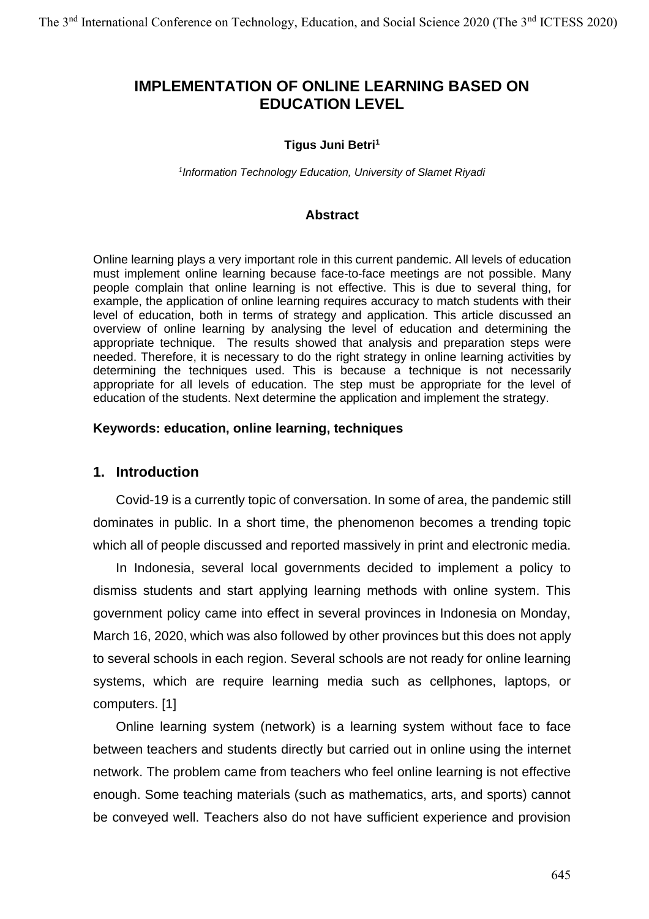# **IMPLEMENTATION OF ONLINE LEARNING BASED ON EDUCATION LEVEL**

#### **Tigus Juni Betri<sup>1</sup>**

*1 Information Technology Education, University of Slamet Riyadi*

#### **Abstract**

Online learning plays a very important role in this current pandemic. All levels of education must implement online learning because face-to-face meetings are not possible. Many people complain that online learning is not effective. This is due to several thing, for example, the application of online learning requires accuracy to match students with their level of education, both in terms of strategy and application. This article discussed an overview of online learning by analysing the level of education and determining the appropriate technique. The results showed that analysis and preparation steps were needed. Therefore, it is necessary to do the right strategy in online learning activities by determining the techniques used. This is because a technique is not necessarily appropriate for all levels of education. The step must be appropriate for the level of education of the students. Next determine the application and implement the strategy.

### **Keywords: education, online learning, techniques**

### **1. Introduction**

Covid-19 is a currently topic of conversation. In some of area, the pandemic still dominates in public. In a short time, the phenomenon becomes a trending topic which all of people discussed and reported massively in print and electronic media.

In Indonesia, several local governments decided to implement a policy to dismiss students and start applying learning methods with online system. This government policy came into effect in several provinces in Indonesia on Monday, March 16, 2020, which was also followed by other provinces but this does not apply to several schools in each region. Several schools are not ready for online learning systems, which are require learning media such as cellphones, laptops, or computers. [1]

Online learning system (network) is a learning system without face to face between teachers and students directly but carried out in online using the internet network. The problem came from teachers who feel online learning is not effective enough. Some teaching materials (such as mathematics, arts, and sports) cannot be conveyed well. Teachers also do not have sufficient experience and provision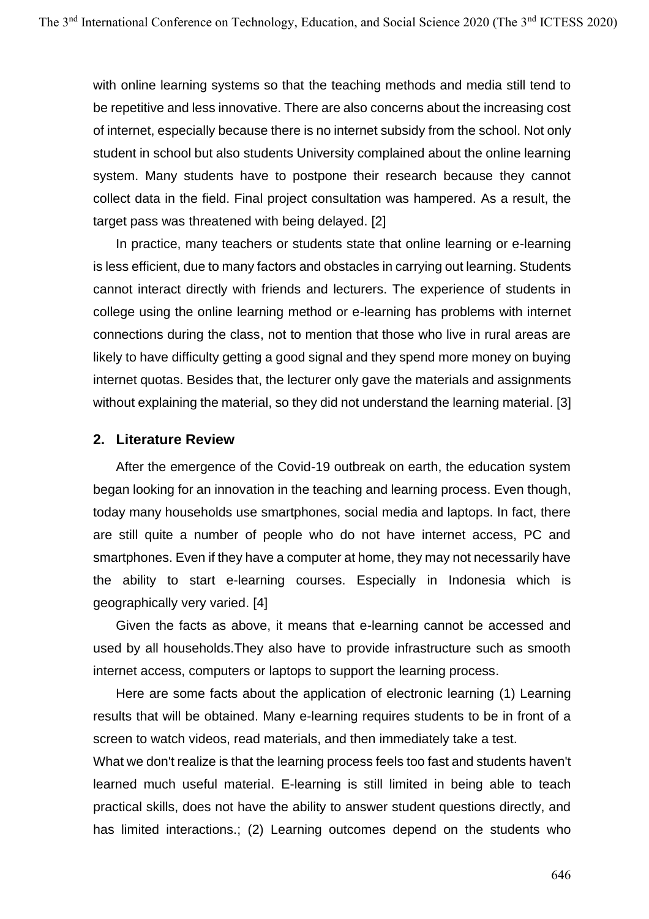with online learning systems so that the teaching methods and media still tend to be repetitive and less innovative. There are also concerns about the increasing cost of internet, especially because there is no internet subsidy from the school. Not only student in school but also students University complained about the online learning system. Many students have to postpone their research because they cannot collect data in the field. Final project consultation was hampered. As a result, the target pass was threatened with being delayed. [2]

In practice, many teachers or students state that online learning or e-learning is less efficient, due to many factors and obstacles in carrying out learning. Students cannot interact directly with friends and lecturers. The experience of students in college using the online learning method or e-learning has problems with internet connections during the class, not to mention that those who live in rural areas are likely to have difficulty getting a good signal and they spend more money on buying internet quotas. Besides that, the lecturer only gave the materials and assignments without explaining the material, so they did not understand the learning material. [3]

### **2. Literature Review**

After the emergence of the Covid-19 outbreak on earth, the education system began looking for an innovation in the teaching and learning process. Even though, today many households use smartphones, social media and laptops. In fact, there are still quite a number of people who do not have internet access, PC and smartphones. Even if they have a computer at home, they may not necessarily have the ability to start e-learning courses. Especially in Indonesia which is geographically very varied. [4]

Given the facts as above, it means that e-learning cannot be accessed and used by all households.They also have to provide infrastructure such as smooth internet access, computers or laptops to support the learning process.

Here are some facts about the application of electronic learning (1) Learning results that will be obtained. Many e-learning requires students to be in front of a screen to watch videos, read materials, and then immediately take a test.

What we don't realize is that the learning process feels too fast and students haven't learned much useful material. E-learning is still limited in being able to teach practical skills, does not have the ability to answer student questions directly, and has limited interactions.; (2) Learning outcomes depend on the students who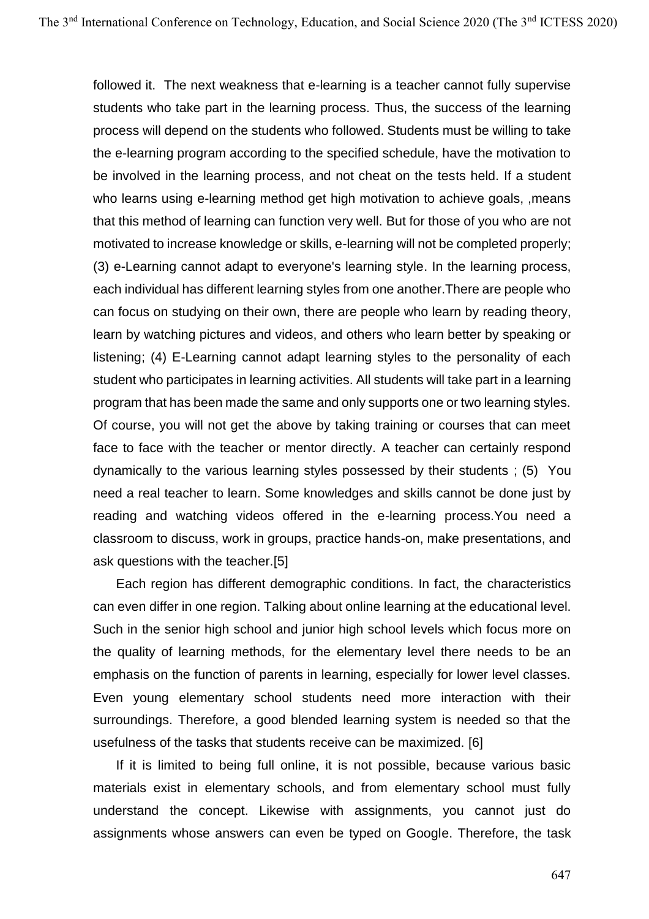followed it. The next weakness that e-learning is a teacher cannot fully supervise students who take part in the learning process. Thus, the success of the learning process will depend on the students who followed. Students must be willing to take the e-learning program according to the specified schedule, have the motivation to be involved in the learning process, and not cheat on the tests held. If a student who learns using e-learning method get high motivation to achieve goals, ,means that this method of learning can function very well. But for those of you who are not motivated to increase knowledge or skills, e-learning will not be completed properly; (3) e-Learning cannot adapt to everyone's learning style. In the learning process, each individual has different learning styles from one another.There are people who can focus on studying on their own, there are people who learn by reading theory, learn by watching pictures and videos, and others who learn better by speaking or listening; (4) E-Learning cannot adapt learning styles to the personality of each student who participates in learning activities. All students will take part in a learning program that has been made the same and only supports one or two learning styles. Of course, you will not get the above by taking training or courses that can meet face to face with the teacher or mentor directly. A teacher can certainly respond dynamically to the various learning styles possessed by their students ; (5) You need a real teacher to learn. Some knowledges and skills cannot be done just by reading and watching videos offered in the e-learning process.You need a classroom to discuss, work in groups, practice hands-on, make presentations, and ask questions with the teacher.[5]

Each region has different demographic conditions. In fact, the characteristics can even differ in one region. Talking about online learning at the educational level. Such in the senior high school and junior high school levels which focus more on the quality of learning methods, for the elementary level there needs to be an emphasis on the function of parents in learning, especially for lower level classes. Even young elementary school students need more interaction with their surroundings. Therefore, a good blended learning system is needed so that the usefulness of the tasks that students receive can be maximized. [6]

If it is limited to being full online, it is not possible, because various basic materials exist in elementary schools, and from elementary school must fully understand the concept. Likewise with assignments, you cannot just do assignments whose answers can even be typed on Google. Therefore, the task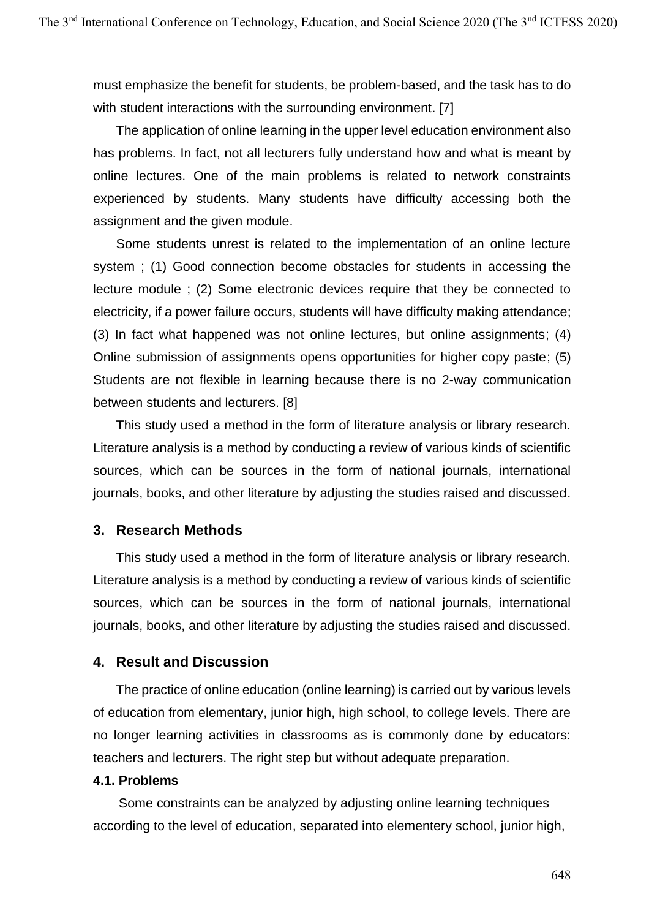must emphasize the benefit for students, be problem-based, and the task has to do with student interactions with the surrounding environment. [7]

The application of online learning in the upper level education environment also has problems. In fact, not all lecturers fully understand how and what is meant by online lectures. One of the main problems is related to network constraints experienced by students. Many students have difficulty accessing both the assignment and the given module.

Some students unrest is related to the implementation of an online lecture system ; (1) Good connection become obstacles for students in accessing the lecture module ; (2) Some electronic devices require that they be connected to electricity, if a power failure occurs, students will have difficulty making attendance; (3) In fact what happened was not online lectures, but online assignments; (4) Online submission of assignments opens opportunities for higher copy paste; (5) Students are not flexible in learning because there is no 2-way communication between students and lecturers. [8]

This study used a method in the form of literature analysis or library research. Literature analysis is a method by conducting a review of various kinds of scientific sources, which can be sources in the form of national journals, international journals, books, and other literature by adjusting the studies raised and discussed.

### **3. Research Methods**

This study used a method in the form of literature analysis or library research. Literature analysis is a method by conducting a review of various kinds of scientific sources, which can be sources in the form of national journals, international journals, books, and other literature by adjusting the studies raised and discussed.

### **4. Result and Discussion**

The practice of online education (online learning) is carried out by various levels of education from elementary, junior high, high school, to college levels. There are no longer learning activities in classrooms as is commonly done by educators: teachers and lecturers. The right step but without adequate preparation.

### **4.1. Problems**

Some constraints can be analyzed by adjusting online learning techniques according to the level of education, separated into elementery school, junior high,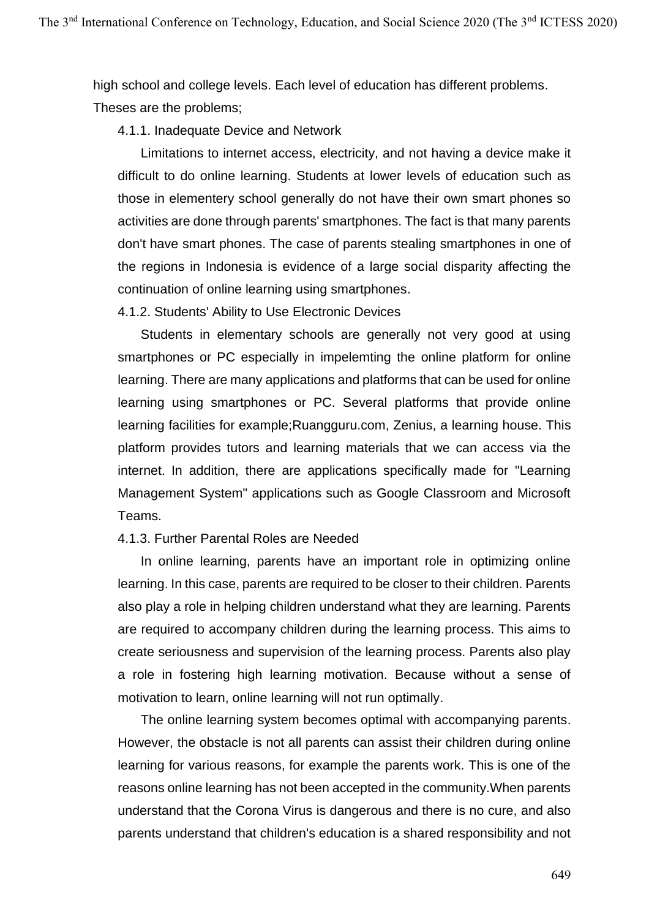high school and college levels. Each level of education has different problems. Theses are the problems;

4.1.1. Inadequate Device and Network

Limitations to internet access, electricity, and not having a device make it difficult to do online learning. Students at lower levels of education such as those in elementery school generally do not have their own smart phones so activities are done through parents' smartphones. The fact is that many parents don't have smart phones. The case of parents stealing smartphones in one of the regions in Indonesia is evidence of a large social disparity affecting the continuation of online learning using smartphones.

4.1.2. Students' Ability to Use Electronic Devices

Students in elementary schools are generally not very good at using smartphones or PC especially in impelemting the online platform for online learning. There are many applications and platforms that can be used for online learning using smartphones or PC. Several platforms that provide online learning facilities for example;Ruangguru.com, Zenius, a learning house. This platform provides tutors and learning materials that we can access via the internet. In addition, there are applications specifically made for "Learning Management System" applications such as Google Classroom and Microsoft Teams.

### 4.1.3. Further Parental Roles are Needed

In online learning, parents have an important role in optimizing online learning. In this case, parents are required to be closer to their children. Parents also play a role in helping children understand what they are learning. Parents are required to accompany children during the learning process. This aims to create seriousness and supervision of the learning process. Parents also play a role in fostering high learning motivation. Because without a sense of motivation to learn, online learning will not run optimally.

The online learning system becomes optimal with accompanying parents. However, the obstacle is not all parents can assist their children during online learning for various reasons, for example the parents work. This is one of the reasons online learning has not been accepted in the community.When parents understand that the Corona Virus is dangerous and there is no cure, and also parents understand that children's education is a shared responsibility and not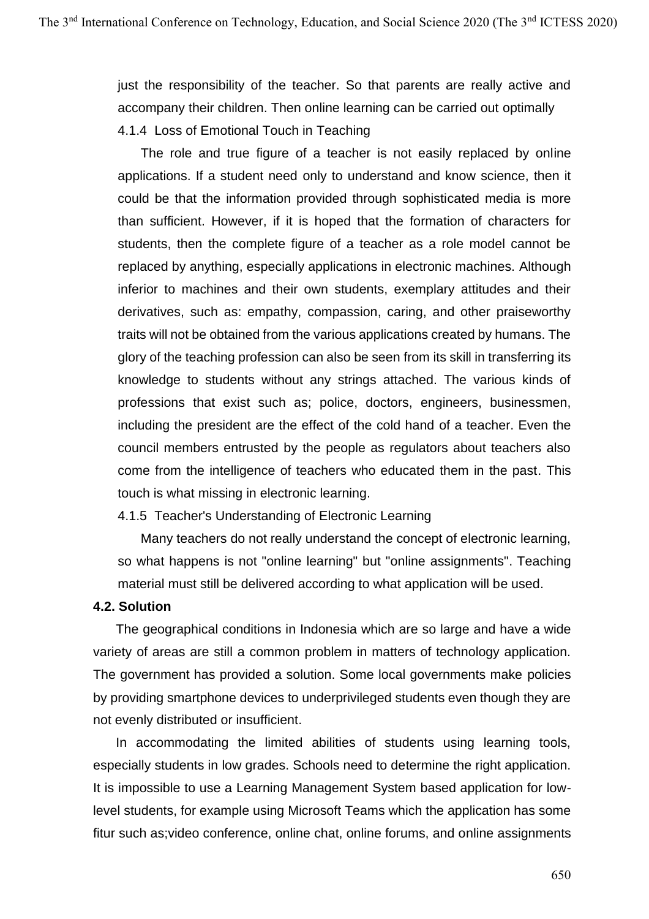just the responsibility of the teacher. So that parents are really active and accompany their children. Then online learning can be carried out optimally 4.1.4 Loss of Emotional Touch in Teaching

The role and true figure of a teacher is not easily replaced by online applications. If a student need only to understand and know science, then it could be that the information provided through sophisticated media is more than sufficient. However, if it is hoped that the formation of characters for students, then the complete figure of a teacher as a role model cannot be replaced by anything, especially applications in electronic machines. Although inferior to machines and their own students, exemplary attitudes and their derivatives, such as: empathy, compassion, caring, and other praiseworthy traits will not be obtained from the various applications created by humans. The glory of the teaching profession can also be seen from its skill in transferring its knowledge to students without any strings attached. The various kinds of professions that exist such as; police, doctors, engineers, businessmen, including the president are the effect of the cold hand of a teacher. Even the council members entrusted by the people as regulators about teachers also come from the intelligence of teachers who educated them in the past. This touch is what missing in electronic learning.

4.1.5 Teacher's Understanding of Electronic Learning

Many teachers do not really understand the concept of electronic learning, so what happens is not "online learning" but "online assignments". Teaching material must still be delivered according to what application will be used.

### **4.2. Solution**

The geographical conditions in Indonesia which are so large and have a wide variety of areas are still a common problem in matters of technology application. The government has provided a solution. Some local governments make policies by providing smartphone devices to underprivileged students even though they are not evenly distributed or insufficient.

In accommodating the limited abilities of students using learning tools, especially students in low grades. Schools need to determine the right application. It is impossible to use a Learning Management System based application for lowlevel students, for example using Microsoft Teams which the application has some fitur such as;video conference, online chat, online forums, and online assignments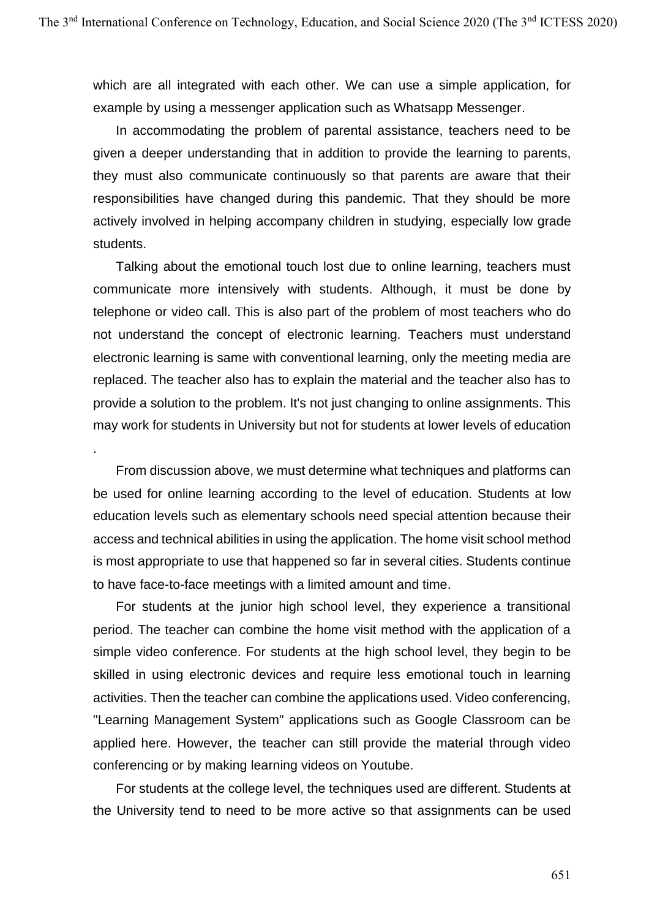which are all integrated with each other. We can use a simple application, for example by using a messenger application such as Whatsapp Messenger.

In accommodating the problem of parental assistance, teachers need to be given a deeper understanding that in addition to provide the learning to parents, they must also communicate continuously so that parents are aware that their responsibilities have changed during this pandemic. That they should be more actively involved in helping accompany children in studying, especially low grade students.

Talking about the emotional touch lost due to online learning, teachers must communicate more intensively with students. Although, it must be done by telephone or video call. This is also part of the problem of most teachers who do not understand the concept of electronic learning. Teachers must understand electronic learning is same with conventional learning, only the meeting media are replaced. The teacher also has to explain the material and the teacher also has to provide a solution to the problem. It's not just changing to online assignments. This may work for students in University but not for students at lower levels of education

From discussion above, we must determine what techniques and platforms can be used for online learning according to the level of education. Students at low education levels such as elementary schools need special attention because their access and technical abilities in using the application. The home visit school method is most appropriate to use that happened so far in several cities. Students continue to have face-to-face meetings with a limited amount and time.

.

For students at the junior high school level, they experience a transitional period. The teacher can combine the home visit method with the application of a simple video conference. For students at the high school level, they begin to be skilled in using electronic devices and require less emotional touch in learning activities. Then the teacher can combine the applications used. Video conferencing, "Learning Management System" applications such as Google Classroom can be applied here. However, the teacher can still provide the material through video conferencing or by making learning videos on Youtube.

For students at the college level, the techniques used are different. Students at the University tend to need to be more active so that assignments can be used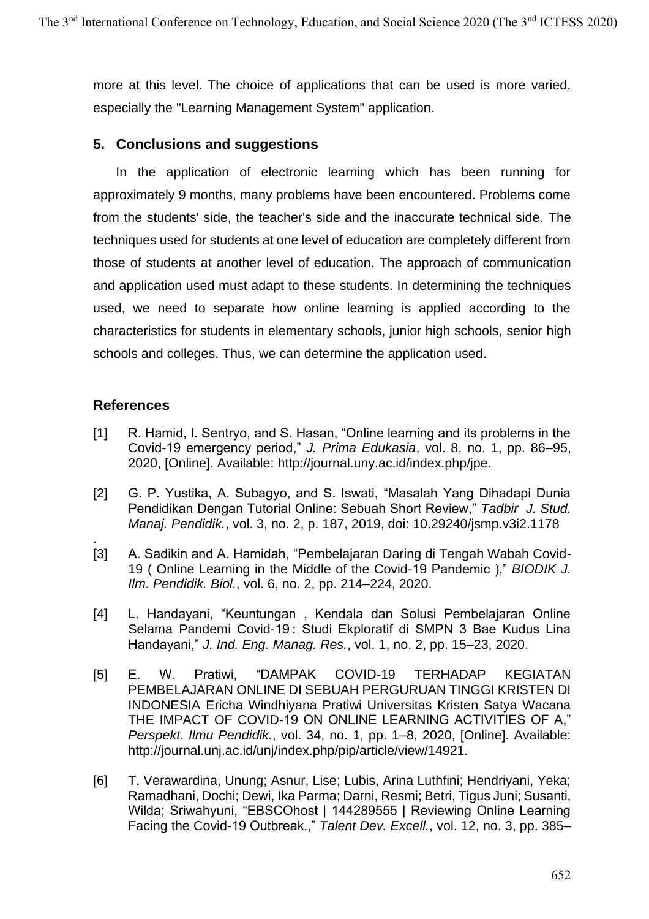more at this level. The choice of applications that can be used is more varied, especially the "Learning Management System" application.

## **5. Conclusions and suggestions**

In the application of electronic learning which has been running for approximately 9 months, many problems have been encountered. Problems come from the students' side, the teacher's side and the inaccurate technical side. The techniques used for students at one level of education are completely different from those of students at another level of education. The approach of communication and application used must adapt to these students. In determining the techniques used, we need to separate how online learning is applied according to the characteristics for students in elementary schools, junior high schools, senior high schools and colleges. Thus, we can determine the application used.

## **References**

- [1] R. Hamid, I. Sentryo, and S. Hasan, "Online learning and its problems in the Covid-19 emergency period," *J. Prima Edukasia*, vol. 8, no. 1, pp. 86–95, 2020, [Online]. Available: http://journal.uny.ac.id/index.php/jpe.
- [2] G. P. Yustika, A. Subagyo, and S. Iswati, "Masalah Yang Dihadapi Dunia Pendidikan Dengan Tutorial Online: Sebuah Short Review," *Tadbir J. Stud. Manaj. Pendidik.*, vol. 3, no. 2, p. 187, 2019, doi: 10.29240/jsmp.v3i2.1178
- . [3] A. Sadikin and A. Hamidah, "Pembelajaran Daring di Tengah Wabah Covid-19 ( Online Learning in the Middle of the Covid-19 Pandemic )," *BIODIK J. Ilm. Pendidik. Biol.*, vol. 6, no. 2, pp. 214–224, 2020.
- [4] L. Handayani, "Keuntungan , Kendala dan Solusi Pembelajaran Online Selama Pandemi Covid-19 : Studi Ekploratif di SMPN 3 Bae Kudus Lina Handayani," *J. Ind. Eng. Manag. Res.*, vol. 1, no. 2, pp. 15–23, 2020.
- [5] E. W. Pratiwi, "DAMPAK COVID-19 TERHADAP KEGIATAN PEMBELAJARAN ONLINE DI SEBUAH PERGURUAN TINGGI KRISTEN DI INDONESIA Ericha Windhiyana Pratiwi Universitas Kristen Satya Wacana THE IMPACT OF COVID-19 ON ONLINE LEARNING ACTIVITIES OF A," *Perspekt. Ilmu Pendidik.*, vol. 34, no. 1, pp. 1–8, 2020, [Online]. Available: http://journal.unj.ac.id/unj/index.php/pip/article/view/14921.
- [6] T. Verawardina, Unung; Asnur, Lise; Lubis, Arina Luthfini; Hendriyani, Yeka; Ramadhani, Dochi; Dewi, Ika Parma; Darni, Resmi; Betri, Tigus Juni; Susanti, Wilda; Sriwahyuni, "EBSCOhost | 144289555 | Reviewing Online Learning Facing the Covid-19 Outbreak.," *Talent Dev. Excell.*, vol. 12, no. 3, pp. 385–